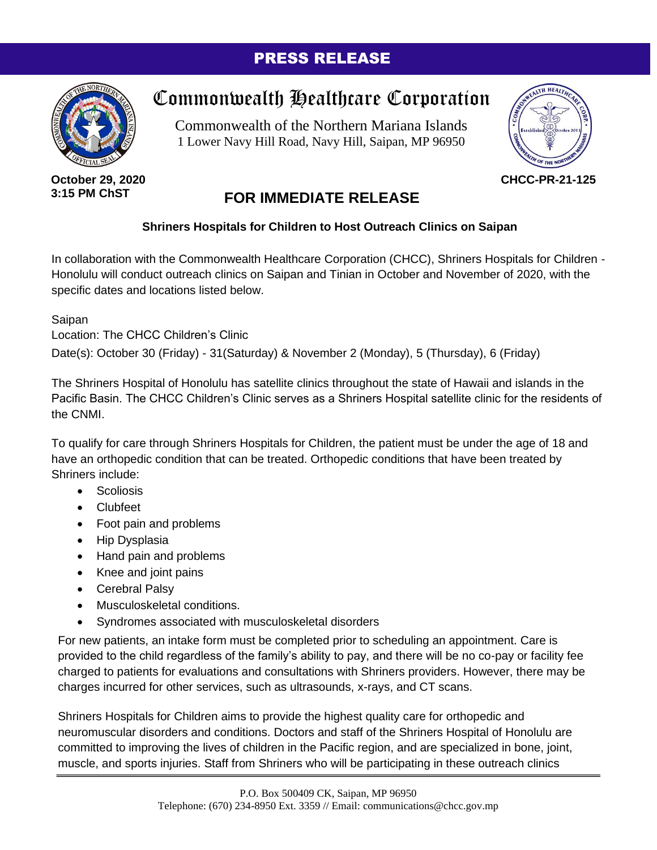## PRESS RELEASE



**October 29, 2020 3:15 PM ChST**

## Commonwealth Healthcare Corporation

Commonwealth of the Northern Mariana Islands 1 Lower Navy Hill Road, Navy Hill, Saipan, MP 96950



**CHCC-PR-21-125**

## **FOR IMMEDIATE RELEASE**

## **Shriners Hospitals for Children to Host Outreach Clinics on Saipan**

In collaboration with the Commonwealth Healthcare Corporation (CHCC), Shriners Hospitals for Children -Honolulu will conduct outreach clinics on Saipan and Tinian in October and November of 2020, with the specific dates and locations listed below.

Saipan

Location: The CHCC Children's Clinic

Date(s): October 30 (Friday) - 31(Saturday) & November 2 (Monday), 5 (Thursday), 6 (Friday)

The Shriners Hospital of Honolulu has satellite clinics throughout the state of Hawaii and islands in the Pacific Basin. The CHCC Children's Clinic serves as a Shriners Hospital satellite clinic for the residents of the CNMI.

To qualify for care through Shriners Hospitals for Children, the patient must be under the age of 18 and have an orthopedic condition that can be treated. Orthopedic conditions that have been treated by Shriners include:

- **Scoliosis**
- Clubfeet
- Foot pain and problems
- Hip Dysplasia
- Hand pain and problems
- Knee and joint pains
- Cerebral Palsy
- Musculoskeletal conditions.
- Syndromes associated with musculoskeletal disorders

For new patients, an intake form must be completed prior to scheduling an appointment. Care is provided to the child regardless of the family's ability to pay, and there will be no co-pay or facility fee charged to patients for evaluations and consultations with Shriners providers. However, there may be charges incurred for other services, such as ultrasounds, x-rays, and CT scans.

Shriners Hospitals for Children aims to provide the highest quality care for orthopedic and neuromuscular disorders and conditions. Doctors and staff of the Shriners Hospital of Honolulu are committed to improving the lives of children in the Pacific region, and are specialized in bone, joint, muscle, and sports injuries. Staff from Shriners who will be participating in these outreach clinics